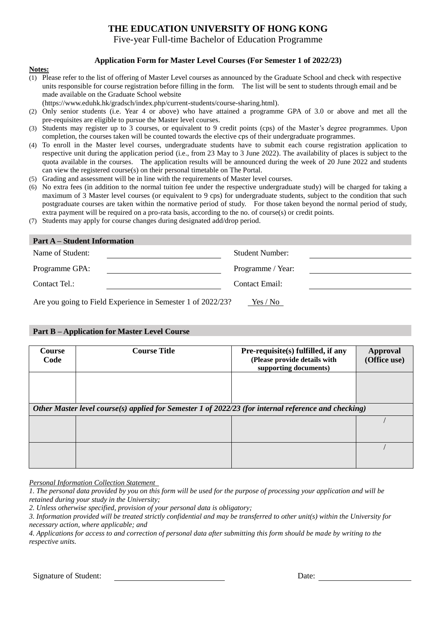# **THE EDUCATION UNIVERSITY OF HONG KONG**

Five-year Full-time Bachelor of Education Programme

## **Application Form for Master Level Courses (For Semester 1 of 2022/23)**

#### **Notes:**

- (1) Please refer to the list of offering of Master Level courses as announced by the Graduate School and check with respective units responsible for course registration before filling in the form. The list will be sent to students through email and be made available on the Graduate School website
	- (https://www.eduhk.hk/gradsch/index.php/current-students/course-sharing.html).
- (2) Only senior students (i.e. Year 4 or above) who have attained a programme GPA of 3.0 or above and met all the pre-requisites are eligible to pursue the Master level courses.
- (3) Students may register up to 3 courses, or equivalent to 9 credit points (cps) of the Master's degree programmes. Upon completion, the courses taken will be counted towards the elective cps of their undergraduate programmes.
- (4) To enroll in the Master level courses, undergraduate students have to submit each course registration application to respective unit during the application period (i.e., from 23 May to 3 June 2022). The availability of places is subject to the quota available in the courses. The application results will be announced during the week of 20 June 2022 and students can view the registered course(s) on their personal timetable on The Portal.
- (5) Grading and assessment will be in line with the requirements of Master level courses.
- (6) No extra fees (in addition to the normal tuition fee under the respective undergraduate study) will be charged for taking a maximum of 3 Master level courses (or equivalent to 9 cps) for undergraduate students, subject to the condition that such postgraduate courses are taken within the normative period of study. For those taken beyond the normal period of study, extra payment will be required on a pro-rata basis, according to the no. of course(s) or credit points.
- (7) Students may apply for course changes during designated add/drop period.

| <b>Part A</b> – Student Information                                     |                        |  |  |  |  |
|-------------------------------------------------------------------------|------------------------|--|--|--|--|
| Name of Student:                                                        | <b>Student Number:</b> |  |  |  |  |
| Programme GPA:                                                          | Programme / Year:      |  |  |  |  |
| Contact Tel.:                                                           | Contact Email:         |  |  |  |  |
| Are you going to Field Experience in Semester 1 of 2022/23?<br>Yes / No |                        |  |  |  |  |

### **Part B – Application for Master Level Course**

| <b>Course</b><br>Code                                                                                | <b>Course Title</b> | Pre-requisite(s) fulfilled, if any<br>(Please provide details with<br>supporting documents) | Approval<br>(Office use) |  |  |  |  |  |
|------------------------------------------------------------------------------------------------------|---------------------|---------------------------------------------------------------------------------------------|--------------------------|--|--|--|--|--|
|                                                                                                      |                     |                                                                                             |                          |  |  |  |  |  |
| Other Master level course(s) applied for Semester 1 of 2022/23 (for internal reference and checking) |                     |                                                                                             |                          |  |  |  |  |  |
|                                                                                                      |                     |                                                                                             |                          |  |  |  |  |  |
|                                                                                                      |                     |                                                                                             |                          |  |  |  |  |  |

*Personal Information Collection Statement* 

*1. The personal data provided by you on this form will be used for the purpose of processing your application and will be retained during your study in the University;* 

*2. Unless otherwise specified, provision of your personal data is obligatory;*

*4. Applications for access to and correction of personal data after submitting this form should be made by writing to the respective units.*

*<sup>3.</sup> Information provided will be treated strictly confidential and may be transferred to other unit(s) within the University for necessary action, where applicable; and*